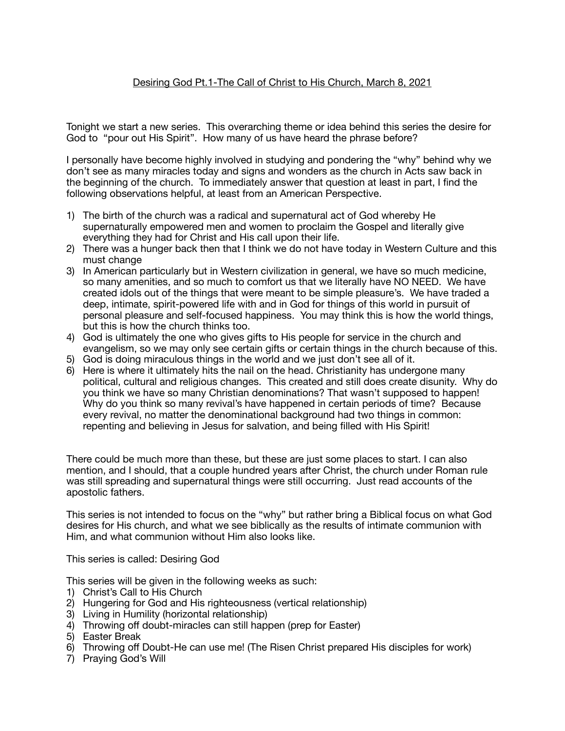# Desiring God Pt.1-The Call of Christ to His Church, March 8, 2021

Tonight we start a new series. This overarching theme or idea behind this series the desire for God to "pour out His Spirit". How many of us have heard the phrase before?

I personally have become highly involved in studying and pondering the "why" behind why we don't see as many miracles today and signs and wonders as the church in Acts saw back in the beginning of the church. To immediately answer that question at least in part, I find the following observations helpful, at least from an American Perspective.

- 1) The birth of the church was a radical and supernatural act of God whereby He supernaturally empowered men and women to proclaim the Gospel and literally give everything they had for Christ and His call upon their life.
- 2) There was a hunger back then that I think we do not have today in Western Culture and this must change
- 3) In American particularly but in Western civilization in general, we have so much medicine, so many amenities, and so much to comfort us that we literally have NO NEED. We have created idols out of the things that were meant to be simple pleasure's. We have traded a deep, intimate, spirit-powered life with and in God for things of this world in pursuit of personal pleasure and self-focused happiness. You may think this is how the world things, but this is how the church thinks too.
- 4) God is ultimately the one who gives gifts to His people for service in the church and evangelism, so we may only see certain gifts or certain things in the church because of this.
- 5) God is doing miraculous things in the world and we just don't see all of it.
- 6) Here is where it ultimately hits the nail on the head. Christianity has undergone many political, cultural and religious changes. This created and still does create disunity. Why do you think we have so many Christian denominations? That wasn't supposed to happen! Why do you think so many revival's have happened in certain periods of time? Because every revival, no matter the denominational background had two things in common: repenting and believing in Jesus for salvation, and being filled with His Spirit!

There could be much more than these, but these are just some places to start. I can also mention, and I should, that a couple hundred years after Christ, the church under Roman rule was still spreading and supernatural things were still occurring. Just read accounts of the apostolic fathers.

This series is not intended to focus on the "why" but rather bring a Biblical focus on what God desires for His church, and what we see biblically as the results of intimate communion with Him, and what communion without Him also looks like.

This series is called: Desiring God

This series will be given in the following weeks as such:

- 1) Christ's Call to His Church
- 2) Hungering for God and His righteousness (vertical relationship)
- 3) Living in Humility (horizontal relationship)
- 4) Throwing off doubt-miracles can still happen (prep for Easter)
- 5) Easter Break
- 6) Throwing off Doubt-He can use me! (The Risen Christ prepared His disciples for work)
- 7) Praying God's Will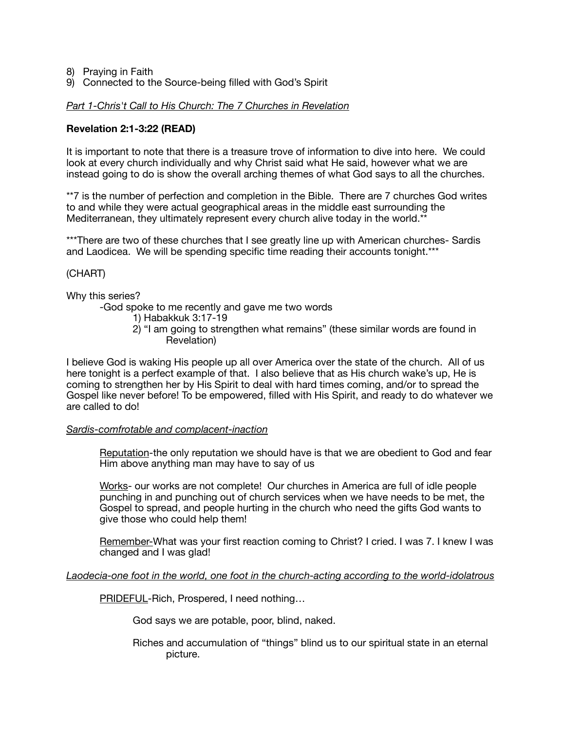- 8) Praying in Faith
- 9) Connected to the Source-being filled with God's Spirit

#### *Part 1-Chris't Call to His Church: The 7 Churches in Revelation*

### **Revelation 2:1-3:22 (READ)**

It is important to note that there is a treasure trove of information to dive into here. We could look at every church individually and why Christ said what He said, however what we are instead going to do is show the overall arching themes of what God says to all the churches.

\*\*7 is the number of perfection and completion in the Bible. There are 7 churches God writes to and while they were actual geographical areas in the middle east surrounding the Mediterranean, they ultimately represent every church alive today in the world.\*\*

\*\*\*There are two of these churches that I see greatly line up with American churches- Sardis and Laodicea. We will be spending specific time reading their accounts tonight.\*\*\*

#### (CHART)

Why this series?

-God spoke to me recently and gave me two words

- 1) Habakkuk 3:17-19
- 2) "I am going to strengthen what remains" (these similar words are found in Revelation)

I believe God is waking His people up all over America over the state of the church. All of us here tonight is a perfect example of that. I also believe that as His church wake's up, He is coming to strengthen her by His Spirit to deal with hard times coming, and/or to spread the Gospel like never before! To be empowered, filled with His Spirit, and ready to do whatever we are called to do!

#### *Sardis-comfrotable and complacent-inaction*

Reputation-the only reputation we should have is that we are obedient to God and fear Him above anything man may have to say of us

Works- our works are not complete! Our churches in America are full of idle people punching in and punching out of church services when we have needs to be met, the Gospel to spread, and people hurting in the church who need the gifts God wants to give those who could help them!

Remember-What was your first reaction coming to Christ? I cried. I was 7. I knew I was changed and I was glad!

#### *Laodecia-one foot in the world, one foot in the church-acting according to the world-idolatrous*

PRIDEFUL-Rich, Prospered, I need nothing…

 God says we are potable, poor, blind, naked.

 Riches and accumulation of "things" blind us to our spiritual state in an eternal picture.